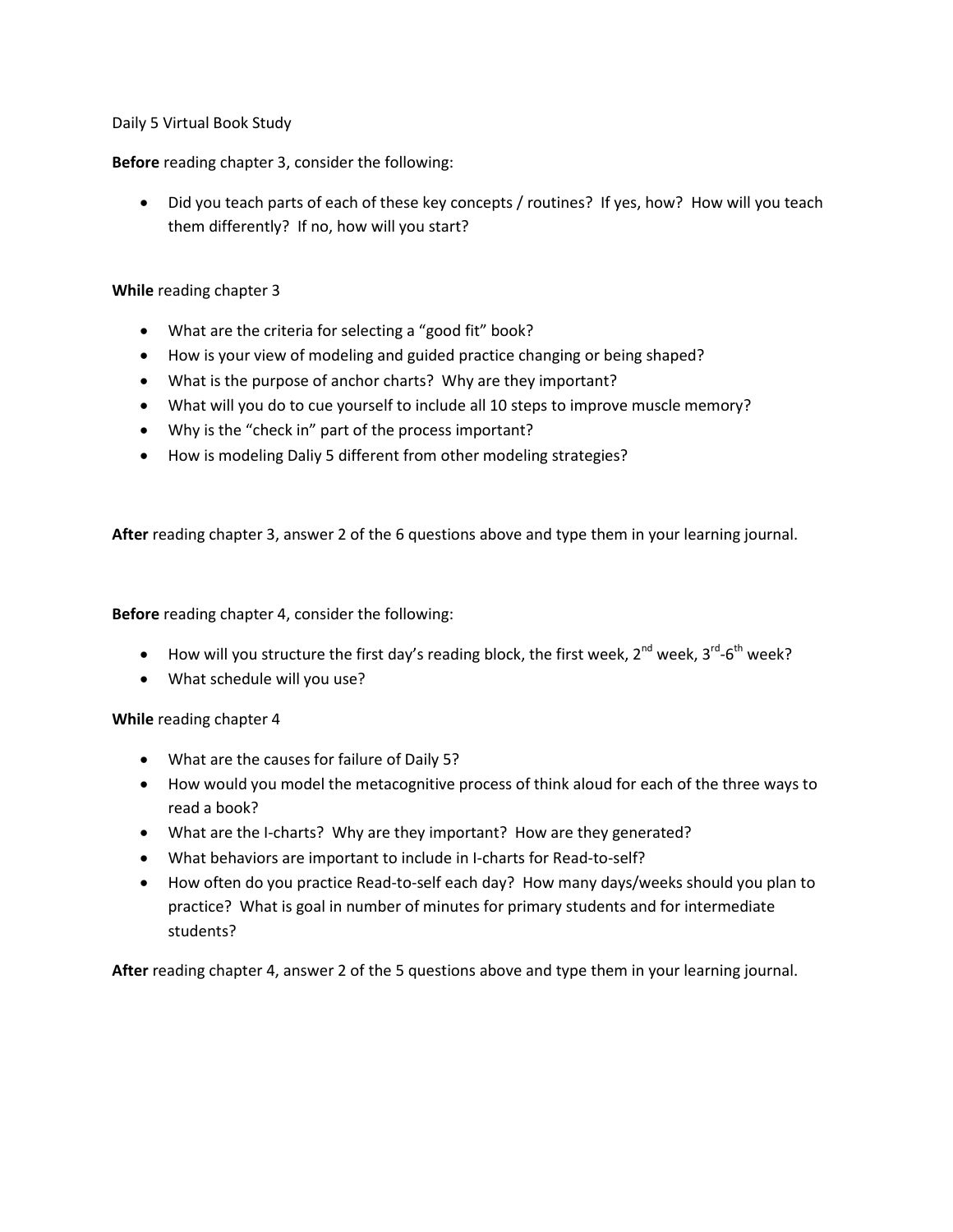Daily 5 Virtual Book Study

**Before** reading chapter 3, consider the following:

• Did you teach parts of each of these key concepts / routines? If yes, how? How will you teach them differently? If no, how will you start?

## **While** reading chapter 3

- What are the criteria for selecting a "good fit" book?
- How is your view of modeling and guided practice changing or being shaped?
- What is the purpose of anchor charts? Why are they important?
- What will you do to cue yourself to include all 10 steps to improve muscle memory?
- Why is the "check in" part of the process important?
- How is modeling Daliy 5 different from other modeling strategies?

**After** reading chapter 3, answer 2 of the 6 questions above and type them in your learning journal.

**Before** reading chapter 4, consider the following:

- How will you structure the first day's reading block, the first week,  $2^{nd}$  week,  $3^{rd}$ -6<sup>th</sup> week?
- What schedule will you use?

**While** reading chapter 4

- What are the causes for failure of Daily 5?
- How would you model the metacognitive process of think aloud for each of the three ways to read a book?
- What are the I-charts? Why are they important? How are they generated?
- What behaviors are important to include in I-charts for Read-to-self?
- How often do you practice Read-to-self each day? How many days/weeks should you plan to practice? What is goal in number of minutes for primary students and for intermediate students?

**After** reading chapter 4, answer 2 of the 5 questions above and type them in your learning journal.